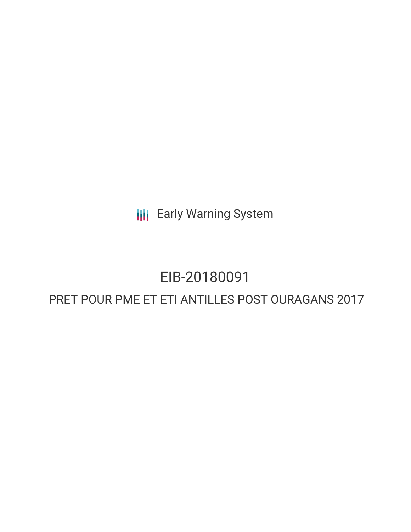**III** Early Warning System

# EIB-20180091 PRET POUR PME ET ETI ANTILLES POST OURAGANS 2017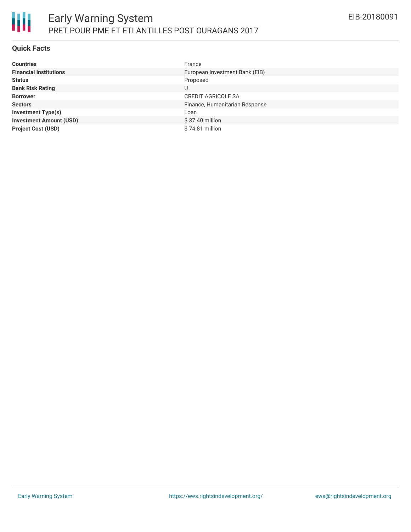

#### **Quick Facts**

| <b>Countries</b>               | France                         |
|--------------------------------|--------------------------------|
| <b>Financial Institutions</b>  | European Investment Bank (EIB) |
| <b>Status</b>                  | Proposed                       |
| <b>Bank Risk Rating</b>        | U                              |
| <b>Borrower</b>                | <b>CREDIT AGRICOLE SA</b>      |
| <b>Sectors</b>                 | Finance, Humanitarian Response |
| <b>Investment Type(s)</b>      | Loan                           |
| <b>Investment Amount (USD)</b> | $$37.40$ million               |
| <b>Project Cost (USD)</b>      | \$74.81 million                |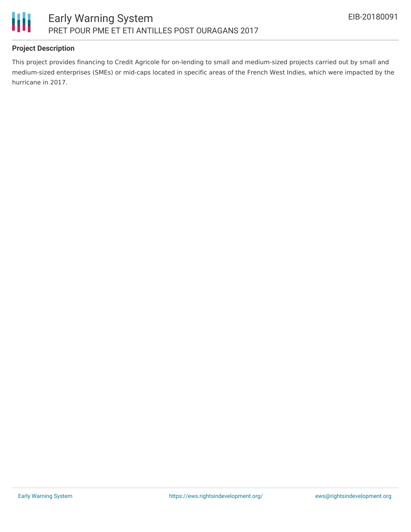

# **Project Description**

This project provides financing to Credit Agricole for on-lending to small and medium-sized projects carried out by small and medium-sized enterprises (SMEs) or mid-caps located in specific areas of the French West Indies, which were impacted by the hurricane in 2017.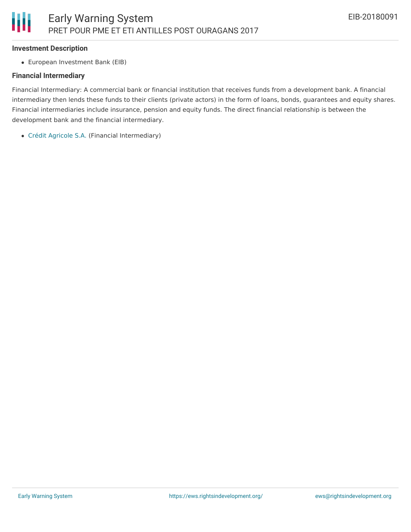#### **Investment Description**

European Investment Bank (EIB)

#### **Financial Intermediary**

Financial Intermediary: A commercial bank or financial institution that receives funds from a development bank. A financial intermediary then lends these funds to their clients (private actors) in the form of loans, bonds, guarantees and equity shares. Financial intermediaries include insurance, pension and equity funds. The direct financial relationship is between the development bank and the financial intermediary.

Crédit [Agricole](file:///actor/552/) S.A. (Financial Intermediary)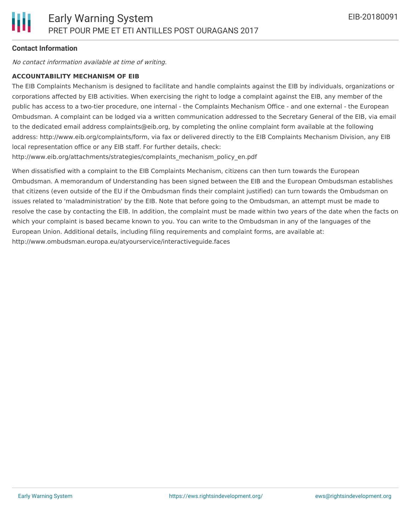## **Contact Information**

No contact information available at time of writing.

#### **ACCOUNTABILITY MECHANISM OF EIB**

The EIB Complaints Mechanism is designed to facilitate and handle complaints against the EIB by individuals, organizations or corporations affected by EIB activities. When exercising the right to lodge a complaint against the EIB, any member of the public has access to a two-tier procedure, one internal - the Complaints Mechanism Office - and one external - the European Ombudsman. A complaint can be lodged via a written communication addressed to the Secretary General of the EIB, via email to the dedicated email address complaints@eib.org, by completing the online complaint form available at the following address: http://www.eib.org/complaints/form, via fax or delivered directly to the EIB Complaints Mechanism Division, any EIB local representation office or any EIB staff. For further details, check:

http://www.eib.org/attachments/strategies/complaints\_mechanism\_policy\_en.pdf

When dissatisfied with a complaint to the EIB Complaints Mechanism, citizens can then turn towards the European Ombudsman. A memorandum of Understanding has been signed between the EIB and the European Ombudsman establishes that citizens (even outside of the EU if the Ombudsman finds their complaint justified) can turn towards the Ombudsman on issues related to 'maladministration' by the EIB. Note that before going to the Ombudsman, an attempt must be made to resolve the case by contacting the EIB. In addition, the complaint must be made within two years of the date when the facts on which your complaint is based became known to you. You can write to the Ombudsman in any of the languages of the European Union. Additional details, including filing requirements and complaint forms, are available at: http://www.ombudsman.europa.eu/atyourservice/interactiveguide.faces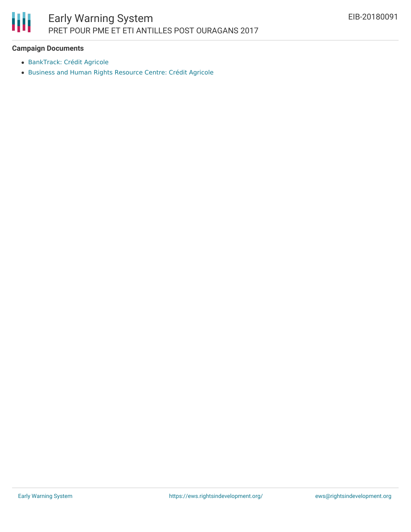

## **Campaign Documents**

- [BankTrack:](https://www.banktrack.org/bank/credit_agricole) Crédit Agricole
- Business and Human Rights [Resource](https://business-humanrights.org/en/cr%C3%A9dit-agricole) Centre: Crédit Agricole